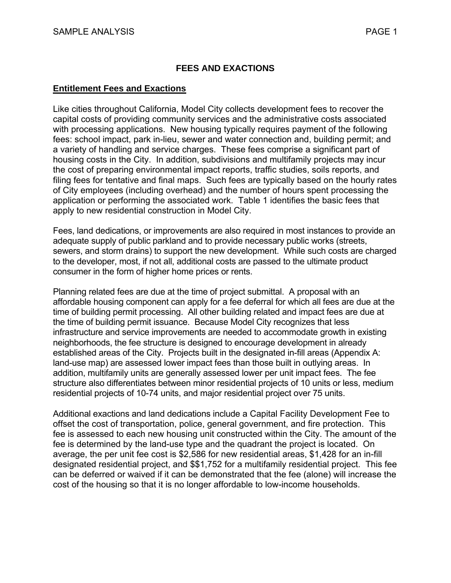### **FEES AND EXACTIONS**

#### **Entitlement Fees and Exactions**

Like cities throughout California, Model City collects development fees to recover the capital costs of providing community services and the administrative costs associated with processing applications. New housing typically requires payment of the following fees: school impact, park in-lieu, sewer and water connection and, building permit; and a variety of handling and service charges. These fees comprise a significant part of housing costs in the City. In addition, subdivisions and multifamily projects may incur the cost of preparing environmental impact reports, traffic studies, soils reports, and filing fees for tentative and final maps. Such fees are typically based on the hourly rates of City employees (including overhead) and the number of hours spent processing the application or performing the associated work. Table 1 identifies the basic fees that apply to new residential construction in Model City.

Fees, land dedications, or improvements are also required in most instances to provide an adequate supply of public parkland and to provide necessary public works (streets, sewers, and storm drains) to support the new development. While such costs are charged to the developer, most, if not all, additional costs are passed to the ultimate product consumer in the form of higher home prices or rents.

Planning related fees are due at the time of project submittal. A proposal with an affordable housing component can apply for a fee deferral for which all fees are due at the time of building permit processing. All other building related and impact fees are due at the time of building permit issuance. Because Model City recognizes that less infrastructure and service improvements are needed to accommodate growth in existing neighborhoods, the fee structure is designed to encourage development in already established areas of the City. Projects built in the designated in-fill areas (Appendix A: land-use map) are assessed lower impact fees than those built in outlying areas. In addition, multifamily units are generally assessed lower per unit impact fees. The fee structure also differentiates between minor residential projects of 10 units or less, medium residential projects of 10-74 units, and major residential project over 75 units.

Additional exactions and land dedications include a Capital Facility Development Fee to offset the cost of transportation, police, general government, and fire protection. This fee is assessed to each new housing unit constructed within the City. The amount of the fee is determined by the land-use type and the quadrant the project is located. On average, the per unit fee cost is \$2,586 for new residential areas, \$1,428 for an in-fill designated residential project, and \$\$1,752 for a multifamily residential project. This fee can be deferred or waived if it can be demonstrated that the fee (alone) will increase the cost of the housing so that it is no longer affordable to low-income households.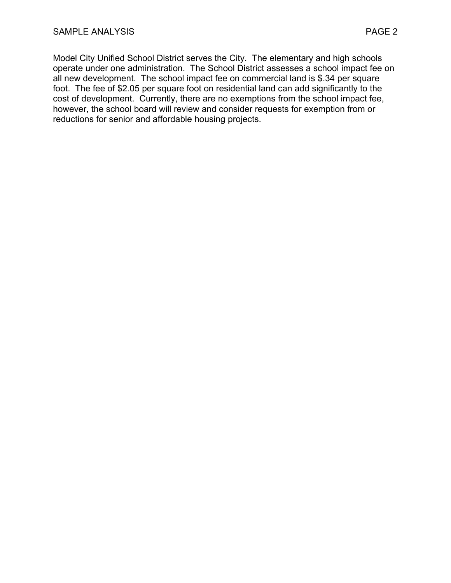Model City Unified School District serves the City. The elementary and high schools operate under one administration. The School District assesses a school impact fee on all new development. The school impact fee on commercial land is \$.34 per square foot. The fee of \$2.05 per square foot on residential land can add significantly to the cost of development. Currently, there are no exemptions from the school impact fee, however, the school board will review and consider requests for exemption from or reductions for senior and affordable housing projects.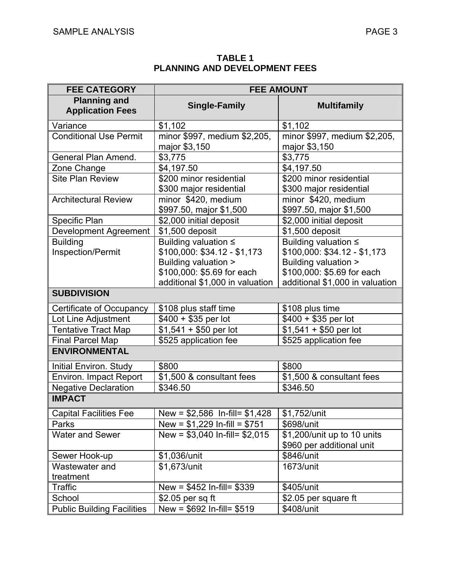**TABLE 1 PLANNING AND DEVELOPMENT FEES** 

| <b>FEE CATEGORY</b>                            | <b>FEE AMOUNT</b>                                                                                          |                                                                                                                                               |  |  |  |
|------------------------------------------------|------------------------------------------------------------------------------------------------------------|-----------------------------------------------------------------------------------------------------------------------------------------------|--|--|--|
| <b>Planning and</b><br><b>Application Fees</b> | <b>Single-Family</b>                                                                                       | <b>Multifamily</b>                                                                                                                            |  |  |  |
| Variance                                       | \$1,102                                                                                                    | \$1,102                                                                                                                                       |  |  |  |
| <b>Conditional Use Permit</b>                  | minor \$997, medium \$2,205,<br>major \$3,150                                                              | minor \$997, medium \$2,205,<br>major \$3,150                                                                                                 |  |  |  |
| General Plan Amend.                            | \$3,775                                                                                                    | \$3,775                                                                                                                                       |  |  |  |
| Zone Change                                    | \$4,197.50                                                                                                 | \$4,197.50                                                                                                                                    |  |  |  |
| <b>Site Plan Review</b>                        | \$200 minor residential<br>\$300 major residential                                                         | \$200 minor residential<br>\$300 major residential                                                                                            |  |  |  |
| <b>Architectural Review</b>                    | minor \$420, medium<br>\$997.50, major \$1,500                                                             | minor \$420, medium<br>\$997.50, major \$1,500                                                                                                |  |  |  |
| Specific Plan                                  | \$2,000 initial deposit                                                                                    | \$2,000 initial deposit                                                                                                                       |  |  |  |
| <b>Development Agreement</b>                   | \$1,500 deposit                                                                                            | \$1,500 deposit                                                                                                                               |  |  |  |
| <b>Building</b><br>Inspection/Permit           | Building valuation ≤<br>\$100,000: \$34.12 - \$1,173<br>Building valuation ><br>\$100,000: \$5.69 for each | Building valuation ≤<br>\$100,000: \$34.12 - \$1,173<br>Building valuation ><br>\$100,000: \$5.69 for each<br>additional \$1,000 in valuation |  |  |  |
| <b>SUBDIVISION</b>                             | additional \$1,000 in valuation                                                                            |                                                                                                                                               |  |  |  |
|                                                |                                                                                                            |                                                                                                                                               |  |  |  |
| Certificate of Occupancy                       | \$108 plus staff time                                                                                      | \$108 plus time                                                                                                                               |  |  |  |
| Lot Line Adjustment                            | $$400 + $35$ per lot                                                                                       | $$400 + $35$ per lot                                                                                                                          |  |  |  |
| <b>Tentative Tract Map</b>                     | $$1,541 + $50$ per lot                                                                                     | $\overline{$1,541 + $50}$ per lot                                                                                                             |  |  |  |
| <b>Final Parcel Map</b>                        | \$525 application fee                                                                                      | \$525 application fee                                                                                                                         |  |  |  |
| <b>ENVIRONMENTAL</b>                           |                                                                                                            |                                                                                                                                               |  |  |  |
| Initial Environ. Study                         | \$800                                                                                                      | \$800                                                                                                                                         |  |  |  |
| <b>Environ. Impact Report</b>                  | \$1,500 & consultant fees                                                                                  | \$1,500 & consultant fees                                                                                                                     |  |  |  |
| <b>Negative Declaration</b>                    | \$346.50                                                                                                   | \$346.50                                                                                                                                      |  |  |  |
| <b>IMPACT</b>                                  |                                                                                                            |                                                                                                                                               |  |  |  |
| <b>Capital Facilities Fee</b>                  | New = $$2,586$ In-fill= $$1,428$                                                                           | \$1,752/unit                                                                                                                                  |  |  |  |
| Parks                                          | New = $$1,229$ In-fill = $$751$                                                                            | \$698/unit                                                                                                                                    |  |  |  |
| <b>Water and Sewer</b>                         | New = $$3,040$ In-fill= $$2,015$                                                                           | \$1,200/unit up to 10 units<br>\$960 per additional unit                                                                                      |  |  |  |
| Sewer Hook-up                                  | \$1,036/unit                                                                                               | \$846/unit                                                                                                                                    |  |  |  |
| Wastewater and<br>treatment                    | \$1,673/unit                                                                                               | 1673/unit                                                                                                                                     |  |  |  |
| Traffic                                        | New = $$452$ In-fill= $$339$                                                                               | \$405/unit                                                                                                                                    |  |  |  |
| School                                         | $$2.05$ per sq ft                                                                                          | \$2.05 per square ft                                                                                                                          |  |  |  |
| <b>Public Building Facilities</b>              | New = $$692$ In-fill= $$519$                                                                               | \$408/unit                                                                                                                                    |  |  |  |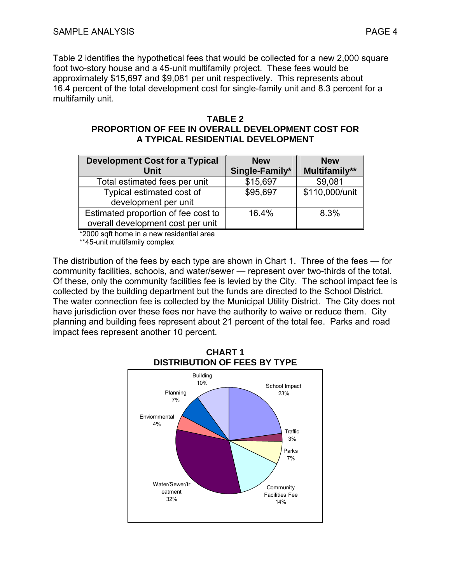Table 2 identifies the hypothetical fees that would be collected for a new 2,000 square foot two-story house and a 45-unit multifamily project. These fees would be approximately \$15,697 and \$9,081 per unit respectively. This represents about 16.4 percent of the total development cost for single-family unit and 8.3 percent for a multifamily unit.

# **TABLE 2**

#### **PROPORTION OF FEE IN OVERALL DEVELOPMENT COST FOR A TYPICAL RESIDENTIAL DEVELOPMENT**

| <b>Development Cost for a Typical</b> | <b>New</b>     | <b>New</b>     |
|---------------------------------------|----------------|----------------|
| Unit                                  | Single-Family* | Multifamily**  |
| Total estimated fees per unit         | \$15,697       | \$9,081        |
| Typical estimated cost of             | \$95,697       | \$110,000/unit |
| development per unit                  |                |                |
| Estimated proportion of fee cost to   | 16.4%          | 8.3%           |
| overall development cost per unit     |                |                |

\*2000 sqft home in a new residential area

\*\*45-unit multifamily complex

The distribution of the fees by each type are shown in Chart 1. Three of the fees — for community facilities, schools, and water/sewer — represent over two-thirds of the total. Of these, only the community facilities fee is levied by the City. The school impact fee is collected by the building department but the funds are directed to the School District. The water connection fee is collected by the Municipal Utility District. The City does not have jurisdiction over these fees nor have the authority to waive or reduce them. City planning and building fees represent about 21 percent of the total fee. Parks and road impact fees represent another 10 percent.

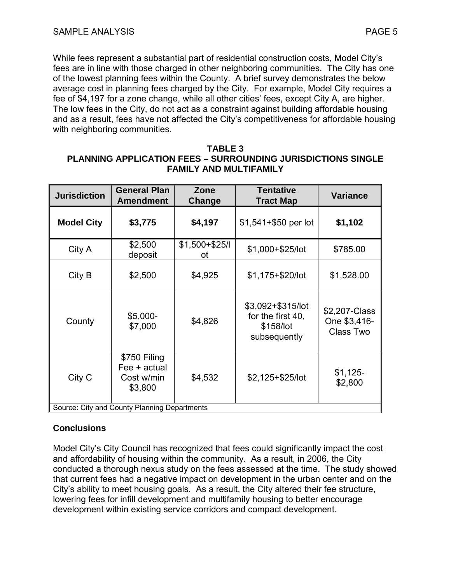While fees represent a substantial part of residential construction costs, Model City's fees are in line with those charged in other neighboring communities. The City has one of the lowest planning fees within the County. A brief survey demonstrates the below average cost in planning fees charged by the City. For example, Model City requires a fee of \$4,197 for a zone change, while all other cities' fees, except City A, are higher. The low fees in the City, do not act as a constraint against building affordable housing and as a result, fees have not affected the City's competitiveness for affordable housing with neighboring communities.

#### **TABLE 3 PLANNING APPLICATION FEES – SURROUNDING JURISDICTIONS SINGLE FAMILY AND MULTIFAMILY**

| <b>Jurisdiction</b>                          | <b>General Plan</b><br><b>Amendment</b>               | Zone<br>Change        | <b>Tentative</b><br><b>Tract Map</b>                                | <b>Variance</b>                            |  |
|----------------------------------------------|-------------------------------------------------------|-----------------------|---------------------------------------------------------------------|--------------------------------------------|--|
| <b>Model City</b>                            | \$3,775                                               | \$4,197               | $$1,541+$50$ per lot                                                | \$1,102                                    |  |
| City A                                       | \$2,500<br>deposit                                    | $$1,500 + $25/$<br>οt | \$1,000+\$25/lot                                                    | \$785.00                                   |  |
| City B                                       | \$2,500                                               | \$4,925               | $$1,175+$20/lot$                                                    | \$1,528.00                                 |  |
| County                                       | $$5,000-$<br>\$7,000                                  | \$4,826               | \$3,092+\$315/lot<br>for the first 40,<br>\$158/lot<br>subsequently | \$2,207-Class<br>One \$3,416-<br>Class Two |  |
| City C                                       | \$750 Filing<br>Fee + actual<br>Cost w/min<br>\$3,800 | \$4,532               | $$2,125+$25/lot$                                                    | $$1,125-$<br>\$2,800                       |  |
| Source: City and County Planning Departments |                                                       |                       |                                                                     |                                            |  |

## **Conclusions**

Model City's City Council has recognized that fees could significantly impact the cost and affordability of housing within the community. As a result, in 2006, the City conducted a thorough nexus study on the fees assessed at the time. The study showed that current fees had a negative impact on development in the urban center and on the City's ability to meet housing goals. As a result, the City altered their fee structure, lowering fees for infill development and multifamily housing to better encourage development within existing service corridors and compact development.